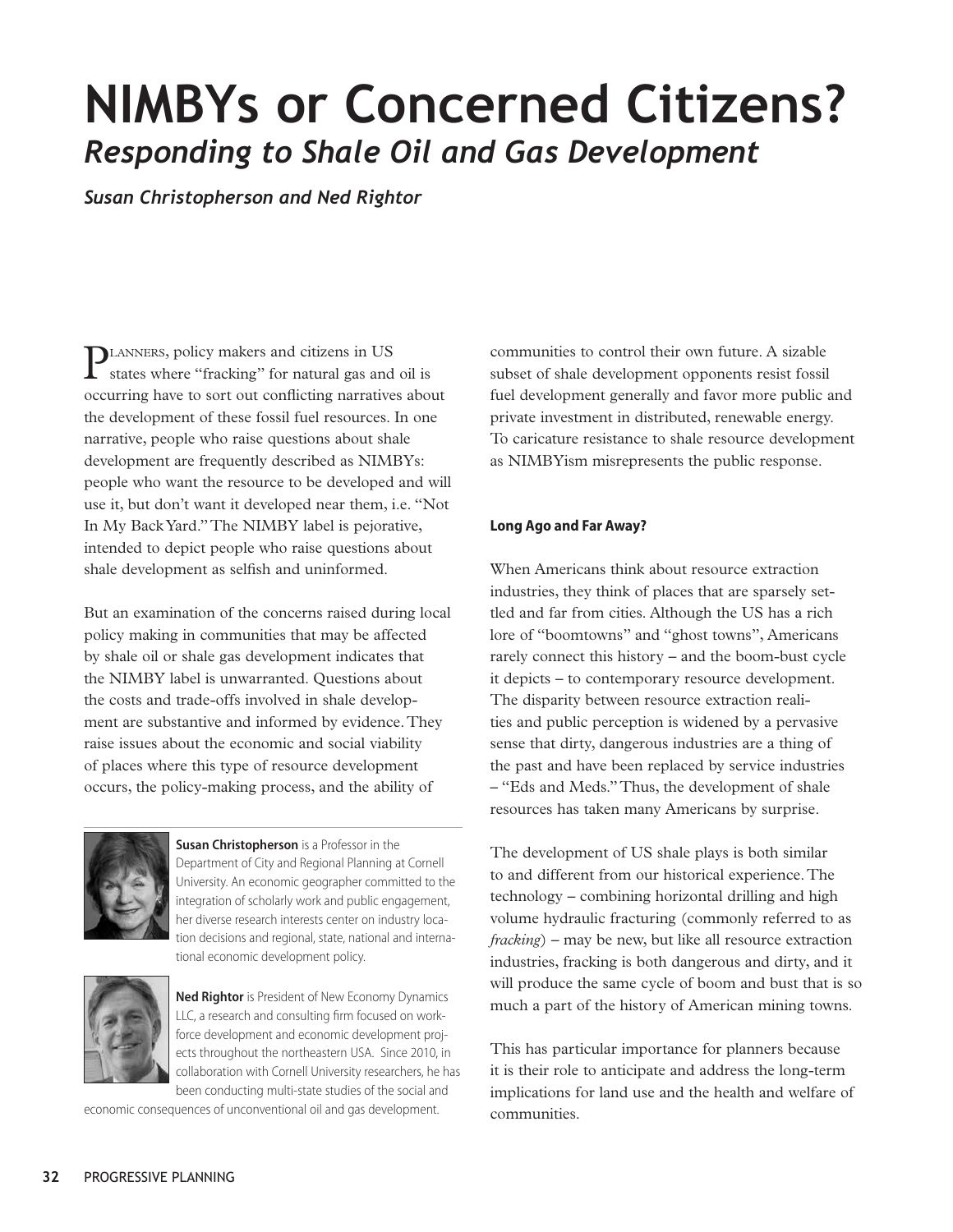# **NIMBYs or Concerned Citizens?**  *Responding to Shale Oil and Gas Development*

*Susan Christopherson and Ned Rightor* 

Planners, policy makers and citizens in US states where "fracking" for natural gas and oil is occurring have to sort out conflicting narratives about the development of these fossil fuel resources. In one narrative, people who raise questions about shale development are frequently described as NIMBYs: people who want the resource to be developed and will use it, but don't want it developed near them, i.e. "Not In My Back Yard." The NIMBY label is pejorative, intended to depict people who raise questions about shale development as selfish and uninformed.

But an examination of the concerns raised during local policy making in communities that may be affected by shale oil or shale gas development indicates that the NIMBY label is unwarranted. Questions about the costs and trade-offs involved in shale development are substantive and informed by evidence. They raise issues about the economic and social viability of places where this type of resource development occurs, the policy-making process, and the ability of



**Susan Christopherson** is a Professor in the Department of City and Regional Planning at Cornell University. An economic geographer committed to the integration of scholarly work and public engagement, her diverse research interests center on industry location decisions and regional, state, national and international economic development policy.



**Ned Rightor** is President of New Economy Dynamics LLC, a research and consulting firm focused on workforce development and economic development projects throughout the northeastern USA. Since 2010, in collaboration with Cornell University researchers, he has been conducting multi-state studies of the social and

economic consequences of unconventional oil and gas development.

communities to control their own future. A sizable subset of shale development opponents resist fossil fuel development generally and favor more public and private investment in distributed, renewable energy. To caricature resistance to shale resource development as NIMBYism misrepresents the public response.

### **Long Ago and Far Away?**

When Americans think about resource extraction industries, they think of places that are sparsely settled and far from cities. Although the US has a rich lore of "boomtowns" and "ghost towns", Americans rarely connect this history – and the boom-bust cycle it depicts – to contemporary resource development. The disparity between resource extraction realities and public perception is widened by a pervasive sense that dirty, dangerous industries are a thing of the past and have been replaced by service industries – "Eds and Meds." Thus, the development of shale resources has taken many Americans by surprise.

The development of US shale plays is both similar to and different from our historical experience. The technology – combining horizontal drilling and high volume hydraulic fracturing (commonly referred to as *fracking*) – may be new, but like all resource extraction industries, fracking is both dangerous and dirty, and it will produce the same cycle of boom and bust that is so much a part of the history of American mining towns.

This has particular importance for planners because it is their role to anticipate and address the long-term implications for land use and the health and welfare of communities.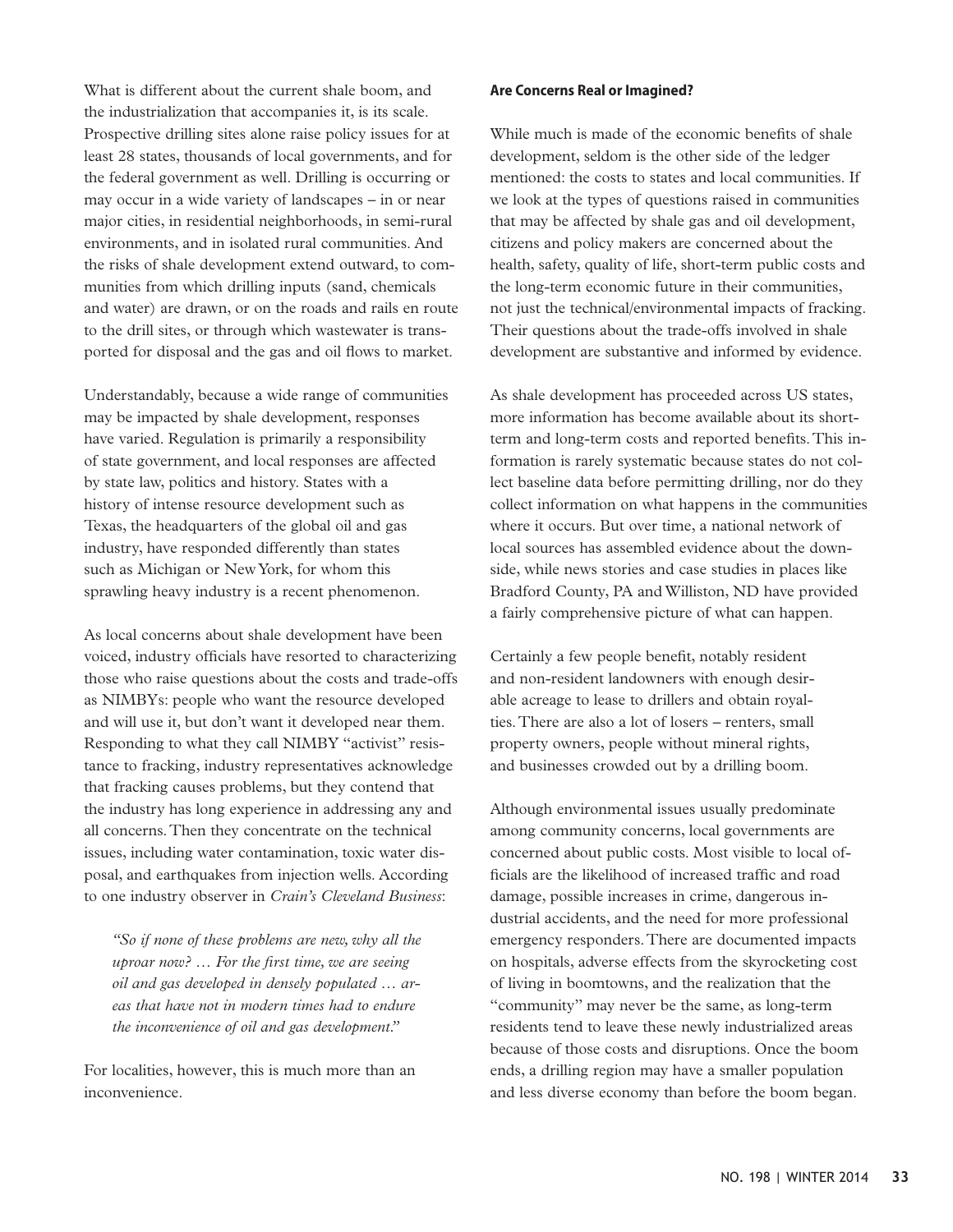What is different about the current shale boom, and the industrialization that accompanies it, is its scale. Prospective drilling sites alone raise policy issues for at least 28 states, thousands of local governments, and for the federal government as well. Drilling is occurring or may occur in a wide variety of landscapes – in or near major cities, in residential neighborhoods, in semi-rural environments, and in isolated rural communities. And the risks of shale development extend outward, to communities from which drilling inputs (sand, chemicals and water) are drawn, or on the roads and rails en route to the drill sites, or through which wastewater is transported for disposal and the gas and oil flows to market.

Understandably, because a wide range of communities may be impacted by shale development, responses have varied. Regulation is primarily a responsibility of state government, and local responses are affected by state law, politics and history. States with a history of intense resource development such as Texas, the headquarters of the global oil and gas industry, have responded differently than states such as Michigan or New York, for whom this sprawling heavy industry is a recent phenomenon.

As local concerns about shale development have been voiced, industry officials have resorted to characterizing those who raise questions about the costs and trade-offs as NIMBYs: people who want the resource developed and will use it, but don't want it developed near them. Responding to what they call NIMBY "activist" resistance to fracking, industry representatives acknowledge that fracking causes problems, but they contend that the industry has long experience in addressing any and all concerns. Then they concentrate on the technical issues, including water contamination, toxic water disposal, and earthquakes from injection wells. According to one industry observer in *Crain's Cleveland Business*:

*"So if none of these problems are new, why all the uproar now? … For the first time, we are seeing oil and gas developed in densely populated … areas that have not in modern times had to endure the inconvenience of oil and gas development."* 

For localities, however, this is much more than an inconvenience.

#### **Are Concerns Real or Imagined?**

While much is made of the economic benefits of shale development, seldom is the other side of the ledger mentioned: the costs to states and local communities. If we look at the types of questions raised in communities that may be affected by shale gas and oil development, citizens and policy makers are concerned about the health, safety, quality of life, short-term public costs and the long-term economic future in their communities, not just the technical/environmental impacts of fracking. Their questions about the trade-offs involved in shale development are substantive and informed by evidence.

As shale development has proceeded across US states, more information has become available about its shortterm and long-term costs and reported benefits. This information is rarely systematic because states do not collect baseline data before permitting drilling, nor do they collect information on what happens in the communities where it occurs. But over time, a national network of local sources has assembled evidence about the downside, while news stories and case studies in places like Bradford County, PA and Williston, ND have provided a fairly comprehensive picture of what can happen.

Certainly a few people benefit, notably resident and non-resident landowners with enough desirable acreage to lease to drillers and obtain royalties. There are also a lot of losers – renters, small property owners, people without mineral rights, and businesses crowded out by a drilling boom.

Although environmental issues usually predominate among community concerns, local governments are concerned about public costs. Most visible to local officials are the likelihood of increased traffic and road damage, possible increases in crime, dangerous industrial accidents, and the need for more professional emergency responders. There are documented impacts on hospitals, adverse effects from the skyrocketing cost of living in boomtowns, and the realization that the "community" may never be the same, as long-term residents tend to leave these newly industrialized areas because of those costs and disruptions. Once the boom ends, a drilling region may have a smaller population and less diverse economy than before the boom began.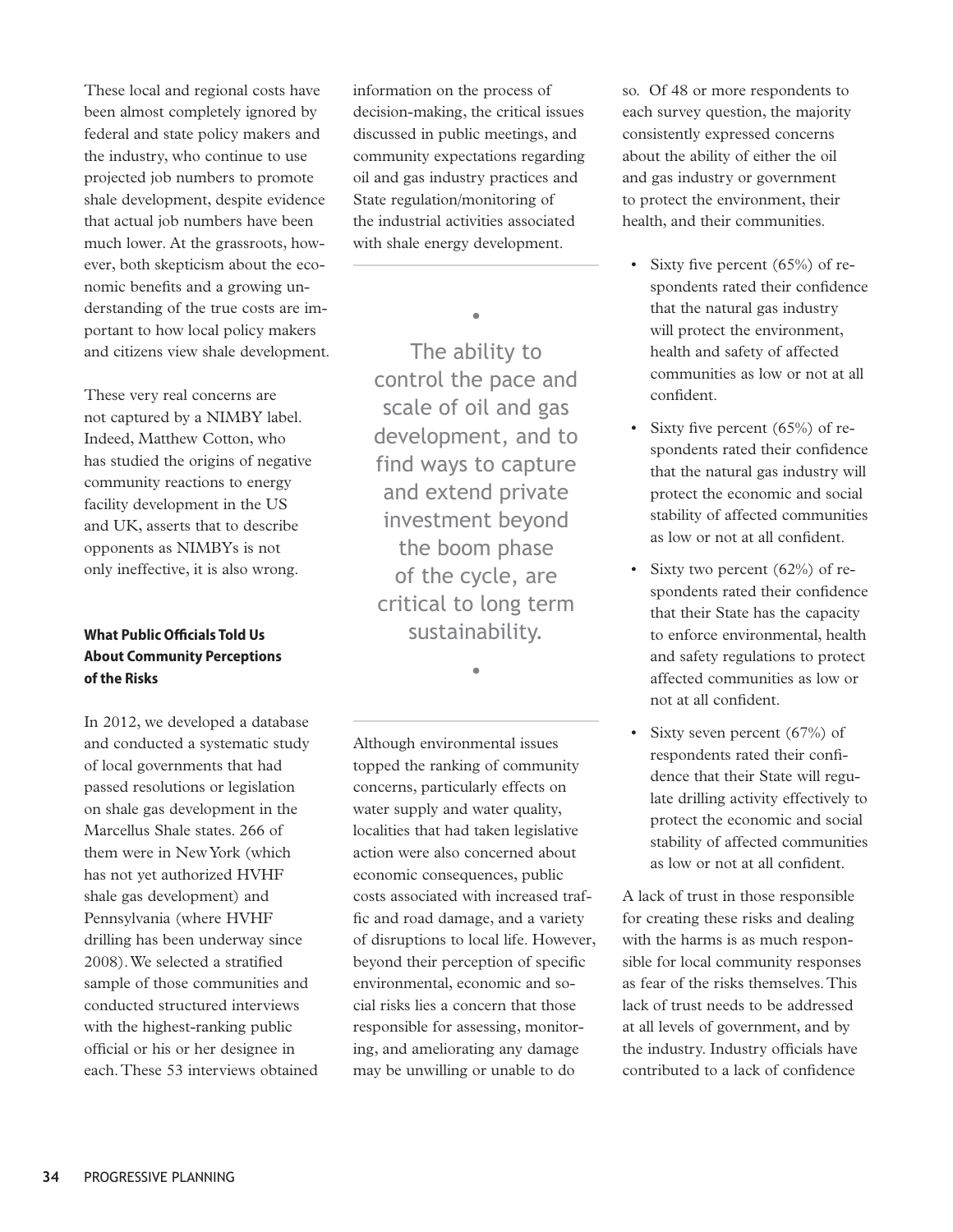These local and regional costs have been almost completely ignored by federal and state policy makers and the industry, who continue to use projected job numbers to promote shale development, despite evidence that actual job numbers have been much lower. At the grassroots, however, both skepticism about the economic benefits and a growing understanding of the true costs are important to how local policy makers and citizens view shale development.

These very real concerns are not captured by a NIMBY label. Indeed, Matthew Cotton, who has studied the origins of negative community reactions to energy facility development in the US and UK, asserts that to describe opponents as NIMBYs is not only ineffective, it is also wrong.

## **What Public Officials Told Us About Community Perceptions of the Risks**

In 2012, we developed a database and conducted a systematic study of local governments that had passed resolutions or legislation on shale gas development in the Marcellus Shale states. 266 of them were in New York (which has not yet authorized HVHF shale gas development) and Pennsylvania (where HVHF drilling has been underway since 2008). We selected a stratified sample of those communities and conducted structured interviews with the highest-ranking public official or his or her designee in each. These 53 interviews obtained information on the process of decision-making, the critical issues discussed in public meetings, and community expectations regarding oil and gas industry practices and State regulation/monitoring of the industrial activities associated with shale energy development.

•

The ability to control the pace and scale of oil and gas development, and to find ways to capture and extend private investment beyond the boom phase of the cycle, are critical to long term sustainability.

•

Although environmental issues topped the ranking of community concerns, particularly effects on water supply and water quality, localities that had taken legislative action were also concerned about economic consequences, public costs associated with increased traffic and road damage, and a variety of disruptions to local life. However, beyond their perception of specific environmental, economic and social risks lies a concern that those responsible for assessing, monitoring, and ameliorating any damage may be unwilling or unable to do

so. Of 48 or more respondents to each survey question, the majority consistently expressed concerns about the ability of either the oil and gas industry or government to protect the environment, their health, and their communities.

- Sixty five percent  $(65%)$  of respondents rated their confidence that the natural gas industry will protect the environment, health and safety of affected communities as low or not at all confident.
- Sixty five percent  $(65%)$  of respondents rated their confidence that the natural gas industry will protect the economic and social stability of affected communities as low or not at all confident.
- Sixty two percent (62%) of respondents rated their confidence that their State has the capacity to enforce environmental, health and safety regulations to protect affected communities as low or not at all confident.
- Sixty seven percent (67%) of respondents rated their confidence that their State will regulate drilling activity effectively to protect the economic and social stability of affected communities as low or not at all confident.

A lack of trust in those responsible for creating these risks and dealing with the harms is as much responsible for local community responses as fear of the risks themselves. This lack of trust needs to be addressed at all levels of government, and by the industry. Industry officials have contributed to a lack of confidence